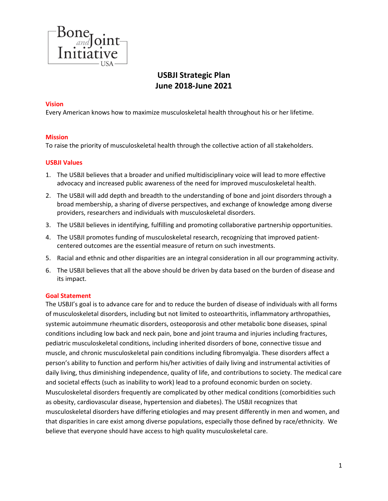

# **USBJI Strategic Plan June 2018-June 2021**

## **Vision**

Every American knows how to maximize musculoskeletal health throughout his or her lifetime.

#### **Mission**

To raise the priority of musculoskeletal health through the collective action of all stakeholders.

#### **USBJI Values**

- 1. The USBJI believes that a broader and unified multidisciplinary voice will lead to more effective advocacy and increased public awareness of the need for improved musculoskeletal health.
- 2. The USBJI will add depth and breadth to the understanding of bone and joint disorders through a broad membership, a sharing of diverse perspectives, and exchange of knowledge among diverse providers, researchers and individuals with musculoskeletal disorders.
- 3. The USBJI believes in identifying, fulfilling and promoting collaborative partnership opportunities.
- 4. The USBJI promotes funding of musculoskeletal research, recognizing that improved patientcentered outcomes are the essential measure of return on such investments.
- 5. Racial and ethnic and other disparities are an integral consideration in all our programming activity.
- 6. The USBJI believes that all the above should be driven by data based on the burden of disease and its impact.

#### **Goal Statement**

The USBJI's goal is to advance care for and to reduce the burden of disease of individuals with all forms of musculoskeletal disorders, including but not limited to osteoarthritis, inflammatory arthropathies, systemic autoimmune rheumatic disorders, osteoporosis and other metabolic bone diseases, spinal conditions including low back and neck pain, bone and joint trauma and injuries including fractures, pediatric musculoskeletal conditions, including inherited disorders of bone, connective tissue and muscle, and chronic musculoskeletal pain conditions including fibromyalgia. These disorders affect a person's ability to function and perform his/her activities of daily living and instrumental activities of daily living, thus diminishing independence, quality of life, and contributions to society. The medical care and societal effects (such as inability to work) lead to a profound economic burden on society. Musculoskeletal disorders frequently are complicated by other medical conditions (comorbidities such as obesity, cardiovascular disease, hypertension and diabetes). The USBJI recognizes that musculoskeletal disorders have differing etiologies and may present differently in men and women, and that disparities in care exist among diverse populations, especially those defined by race/ethnicity. We believe that everyone should have access to high quality musculoskeletal care.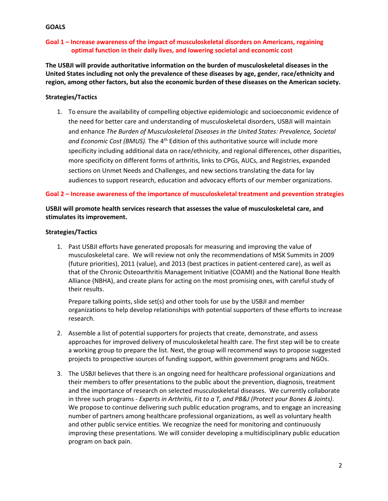## **GOALS**

# **Goal 1 – Increase awareness of the impact of musculoskeletal disorders on Americans, regaining optimal function in their daily lives, and lowering societal and economic cost**

**The USBJI will provide authoritative information on the burden of musculoskeletal diseases in the United States including not only the prevalence of these diseases by age, gender, race/ethnicity and region, among other factors, but also the economic burden of these diseases on the American society.**

# **Strategies/Tactics**

1. To ensure the availability of compelling objective epidemiologic and socioeconomic evidence of the need for better care and understanding of musculoskeletal disorders, USBJI will maintain and enhance *The Burden of Musculoskeletal Diseases in the United States: Prevalence, Societal*  and Economic Cost (BMUS). The 4<sup>th</sup> Edition of this authoritative source will include more specificity including additional data on race/ethnicity, and regional differences, other disparities, more specificity on different forms of arthritis, links to CPGs, AUCs, and Registries, expanded sections on Unmet Needs and Challenges, and new sections translating the data for lay audiences to support research, education and advocacy efforts of our member organizations.

# **Goal 2 – Increase awareness of the importance of musculoskeletal treatment and prevention strategies**

# **USBJI will promote health services research that assesses the value of musculoskeletal care, and stimulates its improvement.**

#### **Strategies/Tactics**

1. Past USBJI efforts have generated proposals for measuring and improving the value of musculoskeletal care. We will review not only the recommendations of MSK Summits in 2009 (future priorities), 2011 (value), and 2013 (best practices in patient-centered care), as well as that of the Chronic Osteoarthritis Management Initiative (COAMI) and the National Bone Health Alliance (NBHA), and create plans for acting on the most promising ones, with careful study of their results.

Prepare talking points, slide set(s) and other tools for use by the USBJI and member organizations to help develop relationships with potential supporters of these efforts to increase research.

- 2. Assemble a list of potential supporters for projects that create, demonstrate, and assess approaches for improved delivery of musculoskeletal health care. The first step will be to create a working group to prepare the list. Next, the group will recommend ways to propose suggested projects to prospective sources of funding support, within government programs and NGOs.
- 3. The USBJI believes that there is an ongoing need for healthcare professional organizations and their members to offer presentations to the public about the prevention, diagnosis, treatment and the importance of research on selected musculoskeletal diseases. We currently collaborate in three such programs - *Experts in Arthritis, Fit to a T, and PB&J (Protect your Bones & Joints)*. We propose to continue delivering such public education programs, and to engage an increasing number of partners among healthcare professional organizations, as well as voluntary health and other public service entities. We recognize the need for monitoring and continuously improving these presentations. We will consider developing a multidisciplinary public education program on back pain.